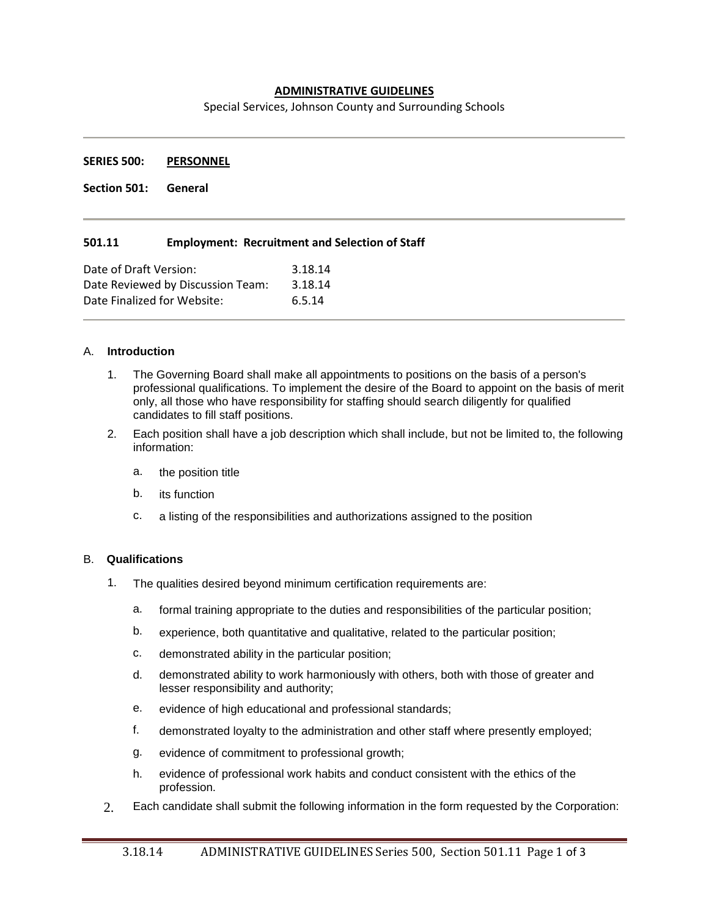# **ADMINISTRATIVE GUIDELINES**

Special Services, Johnson County and Surrounding Schools

**SERIES 500: PERSONNEL**

**Section 501: General**

### **501.11 Employment: Recruitment and Selection of Staff**

| Date of Draft Version:            | 3.18.14 |
|-----------------------------------|---------|
| Date Reviewed by Discussion Team: | 3.18.14 |
| Date Finalized for Website:       | 6.5.14  |

#### A. **Introduction**

- 1. The Governing Board shall make all appointments to positions on the basis of a person's professional qualifications. To implement the desire of the Board to appoint on the basis of merit only, all those who have responsibility for staffing should search diligently for qualified candidates to fill staff positions.
- 2. Each position shall have a job description which shall include, but not be limited to, the following information:
	- a. the position title
	- b. its function
	- c. a listing of the responsibilities and authorizations assigned to the position

#### B. **Qualifications**

- 1. The qualities desired beyond minimum certification requirements are:
	- a. formal training appropriate to the duties and responsibilities of the particular position;
	- b. experience, both quantitative and qualitative, related to the particular position;
	- c. demonstrated ability in the particular position;
	- d. demonstrated ability to work harmoniously with others, both with those of greater and lesser responsibility and authority;
	- e. evidence of high educational and professional standards;
	- f. demonstrated loyalty to the administration and other staff where presently employed;
	- g. evidence of commitment to professional growth;
	- h. evidence of professional work habits and conduct consistent with the ethics of the profession.
- 2. Each candidate shall submit the following information in the form requested by the Corporation: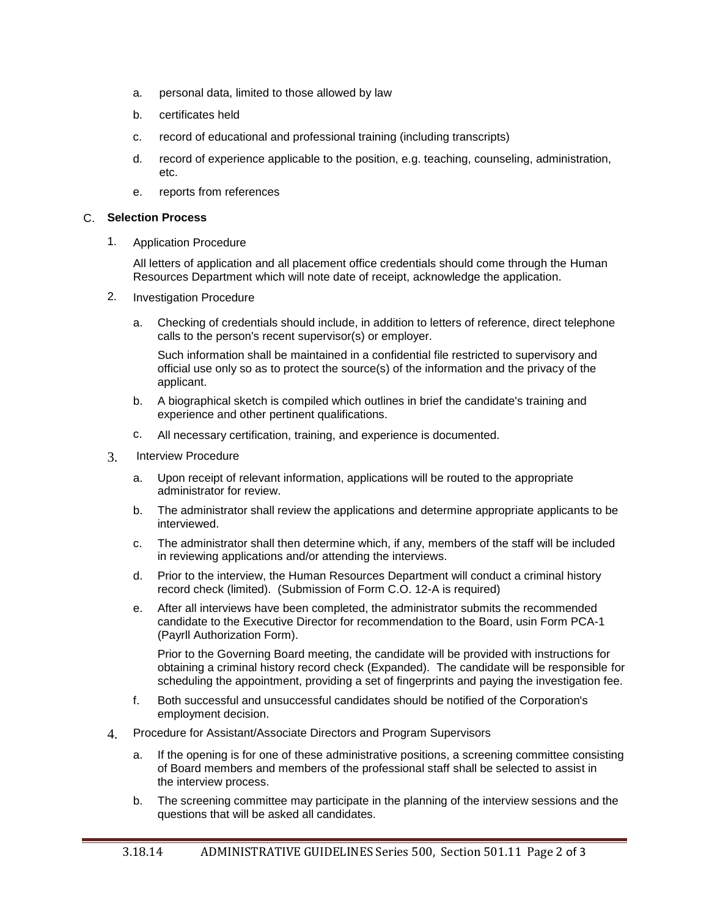- a. personal data, limited to those allowed by law
- b. certificates held
- c. record of educational and professional training (including transcripts)
- d. record of experience applicable to the position, e.g. teaching, counseling, administration, etc.
- e. reports from references

### C. **Selection Process**

1. Application Procedure

All letters of application and all placement office credentials should come through the Human Resources Department which will note date of receipt, acknowledge the application.

- 2. Investigation Procedure
	- a. Checking of credentials should include, in addition to letters of reference, direct telephone calls to the person's recent supervisor(s) or employer.

Such information shall be maintained in a confidential file restricted to supervisory and official use only so as to protect the source(s) of the information and the privacy of the applicant.

- b. A biographical sketch is compiled which outlines in brief the candidate's training and experience and other pertinent qualifications.
- c. All necessary certification, training, and experience is documented.
- 3. Interview Procedure
	- a. Upon receipt of relevant information, applications will be routed to the appropriate administrator for review.
	- b. The administrator shall review the applications and determine appropriate applicants to be interviewed.
	- c. The administrator shall then determine which, if any, members of the staff will be included in reviewing applications and/or attending the interviews.
	- d. Prior to the interview, the Human Resources Department will conduct a criminal history record check (limited). (Submission of Form C.O. 12-A is required)
	- e. After all interviews have been completed, the administrator submits the recommended candidate to the Executive Director for recommendation to the Board, usin Form PCA-1 (Payrll Authorization Form).

Prior to the Governing Board meeting, the candidate will be provided with instructions for obtaining a criminal history record check (Expanded). The candidate will be responsible for scheduling the appointment, providing a set of fingerprints and paying the investigation fee.

- f. Both successful and unsuccessful candidates should be notified of the Corporation's employment decision.
- 4. Procedure for Assistant/Associate Directors and Program Supervisors
	- a. If the opening is for one of these administrative positions, a screening committee consisting of Board members and members of the professional staff shall be selected to assist in the interview process.
	- b. The screening committee may participate in the planning of the interview sessions and the questions that will be asked all candidates.